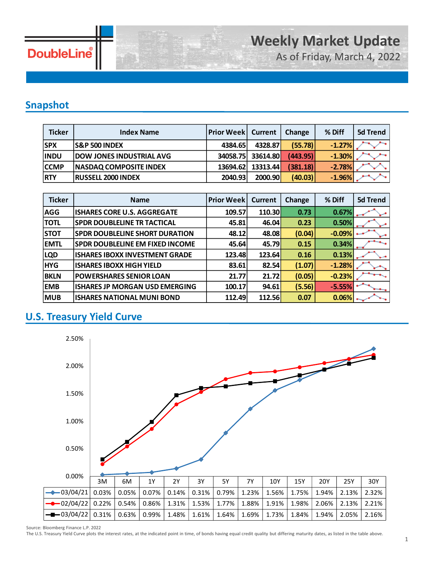

As of Friday, March 4, 2022

### **Snapshot**

| <b>Ticker</b> | <b>Index Name</b>               | <b>Prior Week   Current</b> |          | <b>Change</b> | % Diff   | 5d Trend |
|---------------|---------------------------------|-----------------------------|----------|---------------|----------|----------|
| <b>SPX</b>    | <b>S&amp;P 500 INDEX</b>        | 4384.65                     | 4328.87  | (55.78)       | $-1.27%$ |          |
| <b>INDU</b>   | <b>DOW JONES INDUSTRIAL AVG</b> | 34058.75                    | 33614.80 | (443.95)      | $-1.30%$ |          |
| <b>CCMP</b>   | <b>NASDAQ COMPOSITE INDEX</b>   | 13694.62                    | 13313.44 | (381.18)      | $-2.78%$ |          |
| <b>RTY</b>    | <b>RUSSELL 2000 INDEX</b>       | 2040.93                     | 2000.90  | (40.03)       | $-1.96%$ |          |

| <b>Ticker</b> | <b>Name</b>                            | <b>Prior Week</b> | <b>Current</b> | Change | % Diff   | <b>5d Trend</b> |
|---------------|----------------------------------------|-------------------|----------------|--------|----------|-----------------|
| AGG           | <b>ISHARES CORE U.S. AGGREGATE</b>     | 109.57            | 110.30         | 0.73   | 0.67%    |                 |
| <b>TOTL</b>   | <b>SPDR DOUBLELINE TR TACTICAL</b>     | 45.81             | 46.04          | 0.23   | 0.50%    |                 |
| <b>STOT</b>   | <b>SPDR DOUBLELINE SHORT DURATION</b>  | 48.12             | 48.08          | (0.04) | $-0.09%$ |                 |
| <b>EMTL</b>   | <b>SPDR DOUBLELINE EM FIXED INCOME</b> | 45.64             | 45.79          | 0.15   | 0.34%    |                 |
| <b>LQD</b>    | <b>ISHARES IBOXX INVESTMENT GRADE</b>  | 123.48            | 123.64         | 0.16   | 0.13%    |                 |
| <b>HYG</b>    | <b>ISHARES IBOXX HIGH YIELD</b>        | 83.61             | 82.54          | (1.07) | $-1.28%$ |                 |
| <b>BKLN</b>   | <b>POWERSHARES SENIOR LOAN</b>         | 21.77             | 21.72          | (0.05) | $-0.23%$ |                 |
| <b>EMB</b>    | ISHARES JP MORGAN USD EMERGING         | 100.17            | 94.61          | (5.56) | $-5.55%$ |                 |
| <b>MUB</b>    | <b>ISHARES NATIONAL MUNI BOND</b>      | 112.49            | 112.56         | 0.07   | 0.06%    |                 |

### **U.S. Treasury Yield Curve**



Source: Bloomberg Finance L.P. 2022

The U.S. Treasury Yield Curve plots the interest rates, at the indicated point in time, of bonds having equal credit quality but differing maturity dates, as listed in the table above.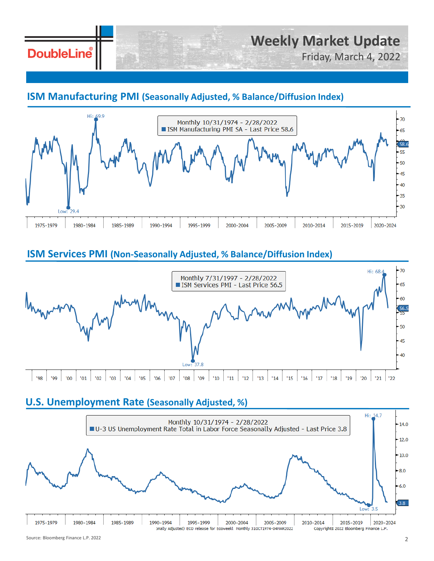## **DoubleLine**

# **Weekly Market Update**

Friday, March 4, 2022

### **ISM Manufacturing PMI (Seasonally Adjusted, % Balance/Diffusion Index)**



### **ISM Services PMI (Non-Seasonally Adjusted, % Balance/Diffusion Index)**



#### **U.S. Unemployment Rate (Seasonally Adjusted, %)**

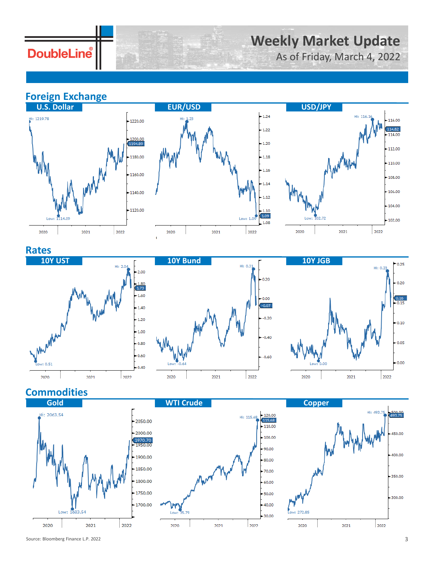**DoubleLine** 

## **Weekly Market Update**

As of Friday, March 4, 2022

### **Foreign Exchange**







#### **Rates**







### **Commodities**